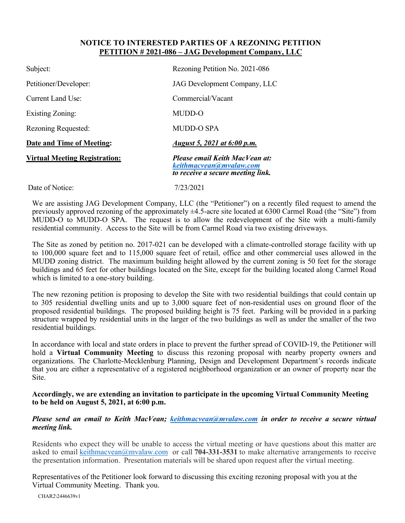## **NOTICE TO INTERESTED PARTIES OF A REZONING PETITION PETITION # 2021-086 – JAG Development Company, LLC**

| Subject:                             | Rezoning Petition No. 2021-086                                                                 |
|--------------------------------------|------------------------------------------------------------------------------------------------|
| Petitioner/Developer:                | JAG Development Company, LLC                                                                   |
| <b>Current Land Use:</b>             | Commercial/Vacant                                                                              |
| <b>Existing Zoning:</b>              | MUDD-O                                                                                         |
| Rezoning Requested:                  | MUDD-O SPA                                                                                     |
| Date and Time of Meeting:            | August 5, 2021 at 6:00 p.m.                                                                    |
| <b>Virtual Meeting Registration:</b> | Please email Keith MacVean at:<br>keithmacvean@mvalaw.com<br>to receive a secure meeting link. |
| Date of Notice:                      | 7/23/2021                                                                                      |

We are assisting JAG Development Company, LLC (the "Petitioner") on a recently filed request to amend the previously approved rezoning of the approximately ±4.5-acre site located at 6300 Carmel Road (the "Site") from MUDD-O to MUDD-O SPA. The request is to allow the redevelopment of the Site with a multi-family residential community. Access to the Site will be from Carmel Road via two existing driveways.

The Site as zoned by petition no. 2017-021 can be developed with a climate-controlled storage facility with up to 100,000 square feet and to 115,000 square feet of retail, office and other commercial uses allowed in the MUDD zoning district. The maximum building height allowed by the current zoning is 50 feet for the storage buildings and 65 feet for other buildings located on the Site, except for the building located along Carmel Road which is limited to a one-story building.

The new rezoning petition is proposing to develop the Site with two residential buildings that could contain up to 305 residential dwelling units and up to 3,000 square feet of non-residential uses on ground floor of the proposed residential buildings. The proposed building height is 75 feet. Parking will be provided in a parking structure wrapped by residential units in the larger of the two buildings as well as under the smaller of the two residential buildings.

In accordance with local and state orders in place to prevent the further spread of COVID-19, the Petitioner will hold a **Virtual Community Meeting** to discuss this rezoning proposal with nearby property owners and organizations. The Charlotte-Mecklenburg Planning, Design and Development Department's records indicate that you are either a representative of a registered neighborhood organization or an owner of property near the Site.

## **Accordingly, we are extending an invitation to participate in the upcoming Virtual Community Meeting to be held on August 5, 2021, at 6:00 p.m.**

## *Please send an email to Keith MacVean; [keithmacvean@mvalaw.com](mailto:keithmacvean@mvalaw.com) in order to receive a secure virtual meeting link.*

Residents who expect they will be unable to access the virtual meeting or have questions about this matter are asked to email [keithmacvean@mvalaw.com](mailto:keithmacvean@mvalaw.com) or call **704-331-3531** to make alternative arrangements to receive the presentation information. Presentation materials will be shared upon request after the virtual meeting.

Representatives of the Petitioner look forward to discussing this exciting rezoning proposal with you at the Virtual Community Meeting. Thank you.